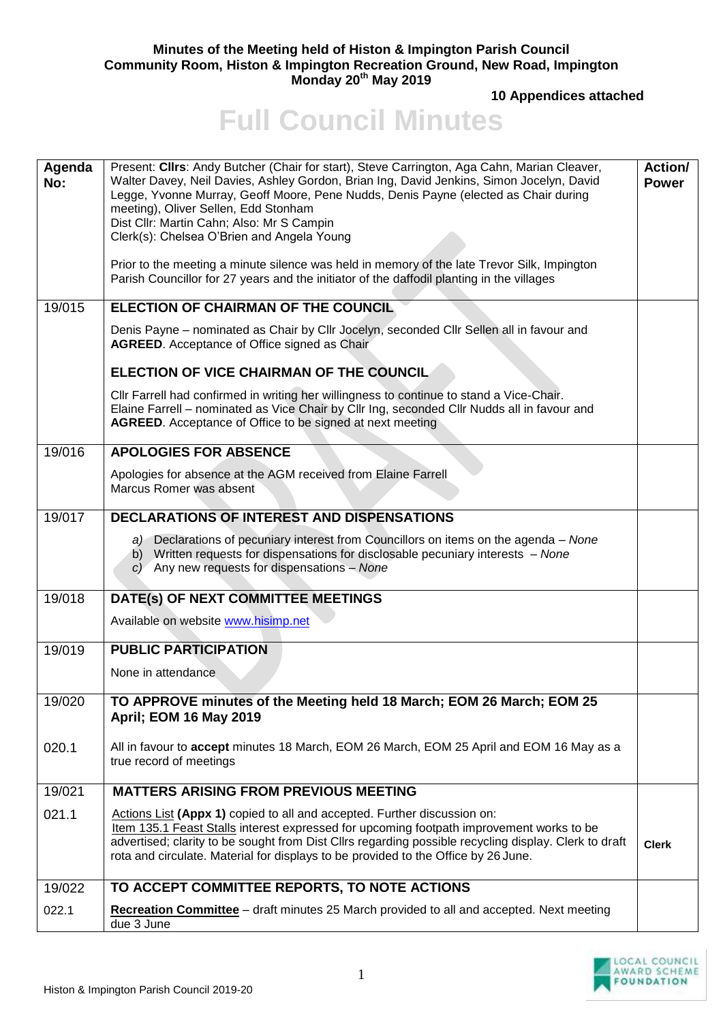## **Minutes of the Meeting held of Histon & Impington Parish Council Community Room, Histon & Impington Recreation Ground, New Road, Impington Monday 20th May 2019**

**10 Appendices attached** 

## **Full Council Minutes**

| Agenda<br>No: | Present: Cllrs: Andy Butcher (Chair for start), Steve Carrington, Aga Cahn, Marian Cleaver,<br>Walter Davey, Neil Davies, Ashley Gordon, Brian Ing, David Jenkins, Simon Jocelyn, David<br>Legge, Yvonne Murray, Geoff Moore, Pene Nudds, Denis Payne (elected as Chair during<br>meeting), Oliver Sellen, Edd Stonham<br>Dist Cllr: Martin Cahn; Also: Mr S Campin<br>Clerk(s): Chelsea O'Brien and Angela Young<br>Prior to the meeting a minute silence was held in memory of the late Trevor Silk, Impington<br>Parish Councillor for 27 years and the initiator of the daffodil planting in the villages | Action/<br><b>Power</b> |
|---------------|---------------------------------------------------------------------------------------------------------------------------------------------------------------------------------------------------------------------------------------------------------------------------------------------------------------------------------------------------------------------------------------------------------------------------------------------------------------------------------------------------------------------------------------------------------------------------------------------------------------|-------------------------|
| 19/015        | ELECTION OF CHAIRMAN OF THE COUNCIL                                                                                                                                                                                                                                                                                                                                                                                                                                                                                                                                                                           |                         |
|               | Denis Payne - nominated as Chair by Cllr Jocelyn, seconded Cllr Sellen all in favour and<br><b>AGREED.</b> Acceptance of Office signed as Chair                                                                                                                                                                                                                                                                                                                                                                                                                                                               |                         |
|               | ELECTION OF VICE CHAIRMAN OF THE COUNCIL                                                                                                                                                                                                                                                                                                                                                                                                                                                                                                                                                                      |                         |
|               | Cllr Farrell had confirmed in writing her willingness to continue to stand a Vice-Chair.<br>Elaine Farrell - nominated as Vice Chair by Cllr Ing, seconded Cllr Nudds all in favour and<br>AGREED. Acceptance of Office to be signed at next meeting                                                                                                                                                                                                                                                                                                                                                          |                         |
| 19/016        | <b>APOLOGIES FOR ABSENCE</b>                                                                                                                                                                                                                                                                                                                                                                                                                                                                                                                                                                                  |                         |
|               | Apologies for absence at the AGM received from Elaine Farrell<br>Marcus Romer was absent                                                                                                                                                                                                                                                                                                                                                                                                                                                                                                                      |                         |
| 19/017        | <b>DECLARATIONS OF INTEREST AND DISPENSATIONS</b>                                                                                                                                                                                                                                                                                                                                                                                                                                                                                                                                                             |                         |
|               | a) Declarations of pecuniary interest from Councillors on items on the agenda – None<br>b) Written requests for dispensations for disclosable pecuniary interests - None<br>$c$ ) Any new requests for dispensations – None                                                                                                                                                                                                                                                                                                                                                                                   |                         |
| 19/018        | DATE(s) OF NEXT COMMITTEE MEETINGS                                                                                                                                                                                                                                                                                                                                                                                                                                                                                                                                                                            |                         |
|               | Available on website www.hisimp.net                                                                                                                                                                                                                                                                                                                                                                                                                                                                                                                                                                           |                         |
| 19/019        | <b>PUBLIC PARTICIPATION</b>                                                                                                                                                                                                                                                                                                                                                                                                                                                                                                                                                                                   |                         |
|               | None in attendance                                                                                                                                                                                                                                                                                                                                                                                                                                                                                                                                                                                            |                         |
| 19/020        | TO APPROVE minutes of the Meeting held 18 March; EOM 26 March; EOM 25<br><b>April: EOM 16 May 2019</b>                                                                                                                                                                                                                                                                                                                                                                                                                                                                                                        |                         |
| 020.1         | All in favour to accept minutes 18 March, EOM 26 March, EOM 25 April and EOM 16 May as a<br>true record of meetings                                                                                                                                                                                                                                                                                                                                                                                                                                                                                           |                         |
| 19/021        | <b>MATTERS ARISING FROM PREVIOUS MEETING</b>                                                                                                                                                                                                                                                                                                                                                                                                                                                                                                                                                                  |                         |
| 021.1         | Actions List (Appx 1) copied to all and accepted. Further discussion on:<br>Item 135.1 Feast Stalls interest expressed for upcoming footpath improvement works to be<br>advertised; clarity to be sought from Dist Cllrs regarding possible recycling display. Clerk to draft<br>rota and circulate. Material for displays to be provided to the Office by 26 June.                                                                                                                                                                                                                                           | <b>Clerk</b>            |
| 19/022        | TO ACCEPT COMMITTEE REPORTS, TO NOTE ACTIONS                                                                                                                                                                                                                                                                                                                                                                                                                                                                                                                                                                  |                         |
| 022.1         | <b>Recreation Committee</b> – draft minutes 25 March provided to all and accepted. Next meeting<br>due 3 June                                                                                                                                                                                                                                                                                                                                                                                                                                                                                                 |                         |

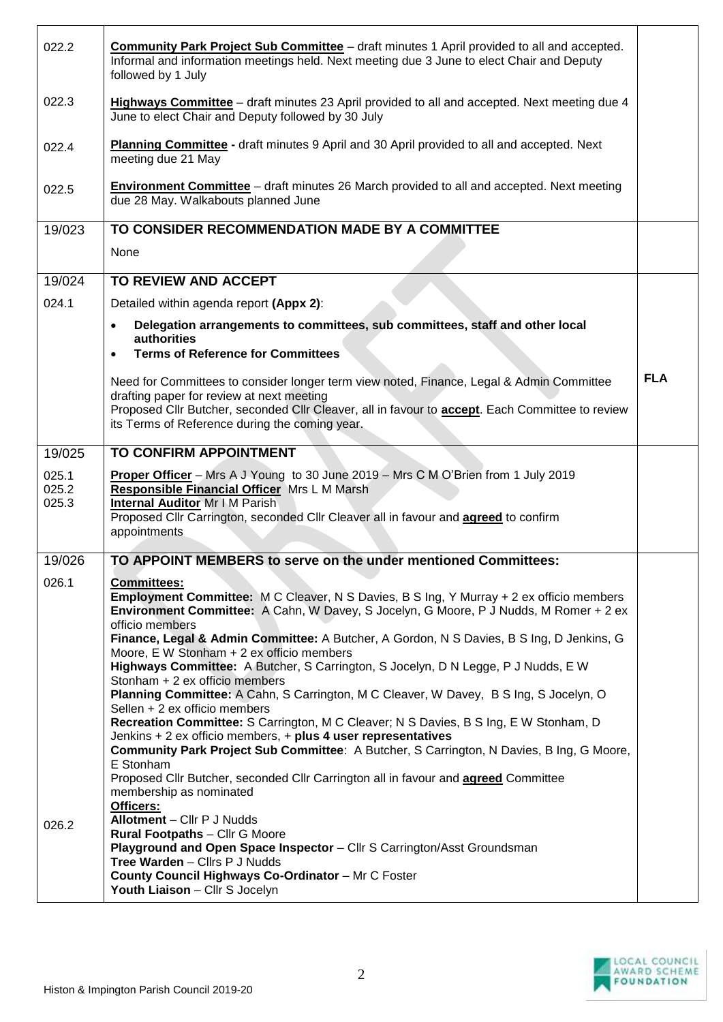| 022.2          | <b>Community Park Project Sub Committee</b> - draft minutes 1 April provided to all and accepted.<br>Informal and information meetings held. Next meeting due 3 June to elect Chair and Deputy<br>followed by 1 July |            |
|----------------|----------------------------------------------------------------------------------------------------------------------------------------------------------------------------------------------------------------------|------------|
| 022.3          | <b>Highways Committee</b> – draft minutes 23 April provided to all and accepted. Next meeting due 4<br>June to elect Chair and Deputy followed by 30 July                                                            |            |
| 022.4          | Planning Committee - draft minutes 9 April and 30 April provided to all and accepted. Next<br>meeting due 21 May                                                                                                     |            |
| 022.5          | <b>Environment Committee</b> - draft minutes 26 March provided to all and accepted. Next meeting<br>due 28 May. Walkabouts planned June                                                                              |            |
| 19/023         | TO CONSIDER RECOMMENDATION MADE BY A COMMITTEE                                                                                                                                                                       |            |
|                | None                                                                                                                                                                                                                 |            |
| 19/024         | TO REVIEW AND ACCEPT                                                                                                                                                                                                 |            |
| 024.1          | Detailed within agenda report (Appx 2):                                                                                                                                                                              |            |
|                | Delegation arrangements to committees, sub committees, staff and other local<br>$\bullet$                                                                                                                            |            |
|                | authorities<br><b>Terms of Reference for Committees</b><br>$\bullet$                                                                                                                                                 |            |
|                | Need for Committees to consider longer term view noted, Finance, Legal & Admin Committee                                                                                                                             | <b>FLA</b> |
|                | drafting paper for review at next meeting                                                                                                                                                                            |            |
|                | Proposed Cllr Butcher, seconded Cllr Cleaver, all in favour to <b>accept</b> . Each Committee to review<br>its Terms of Reference during the coming year.                                                            |            |
| 19/025         | <b>TO CONFIRM APPOINTMENT</b>                                                                                                                                                                                        |            |
| 025.1          | Proper Officer - Mrs A J Young to 30 June 2019 - Mrs C M O'Brien from 1 July 2019                                                                                                                                    |            |
| 025.2<br>025.3 | Responsible Financial Officer Mrs L M Marsh<br><b>Internal Auditor Mr I M Parish</b>                                                                                                                                 |            |
|                | Proposed Cllr Carrington, seconded Cllr Cleaver all in favour and agreed to confirm                                                                                                                                  |            |
|                | appointments                                                                                                                                                                                                         |            |
| 19/026         | TO APPOINT MEMBERS to serve on the under mentioned Committees:                                                                                                                                                       |            |
| 026.1          | <b>Committees:</b><br><b>Employment Committee:</b> M C Cleaver, N S Davies, B S Ing, Y Murray + 2 ex officio members                                                                                                 |            |
|                | Environment Committee: A Cahn, W Davey, S Jocelyn, G Moore, P J Nudds, M Romer + 2 ex                                                                                                                                |            |
|                | officio members<br>Finance, Legal & Admin Committee: A Butcher, A Gordon, N S Davies, B S Ing, D Jenkins, G                                                                                                          |            |
|                | Moore, E W Stonham + 2 ex officio members<br>Highways Committee: A Butcher, S Carrington, S Jocelyn, D N Legge, P J Nudds, E W                                                                                       |            |
|                | Stonham + 2 ex officio members                                                                                                                                                                                       |            |
|                | Planning Committee: A Cahn, S Carrington, M C Cleaver, W Davey, B S Ing, S Jocelyn, O<br>Sellen + 2 ex officio members                                                                                               |            |
|                | Recreation Committee: S Carrington, M C Cleaver; N S Davies, B S Ing, E W Stonham, D                                                                                                                                 |            |
|                | Jenkins $+ 2$ ex officio members, $+$ plus 4 user representatives<br>Community Park Project Sub Committee: A Butcher, S Carrington, N Davies, B Ing, G Moore,                                                        |            |
|                | E Stonham<br>Proposed Cllr Butcher, seconded Cllr Carrington all in favour and <b>agreed</b> Committee                                                                                                               |            |
|                | membership as nominated                                                                                                                                                                                              |            |
| 026.2          | Officers:<br>Allotment - Cllr P J Nudds                                                                                                                                                                              |            |
|                | <b>Rural Footpaths - Cllr G Moore</b><br>Playground and Open Space Inspector - Cllr S Carrington/Asst Groundsman                                                                                                     |            |
|                | Tree Warden - Cllrs P J Nudds                                                                                                                                                                                        |            |
|                | County Council Highways Co-Ordinator - Mr C Foster<br>Youth Liaison - Cllr S Jocelyn                                                                                                                                 |            |

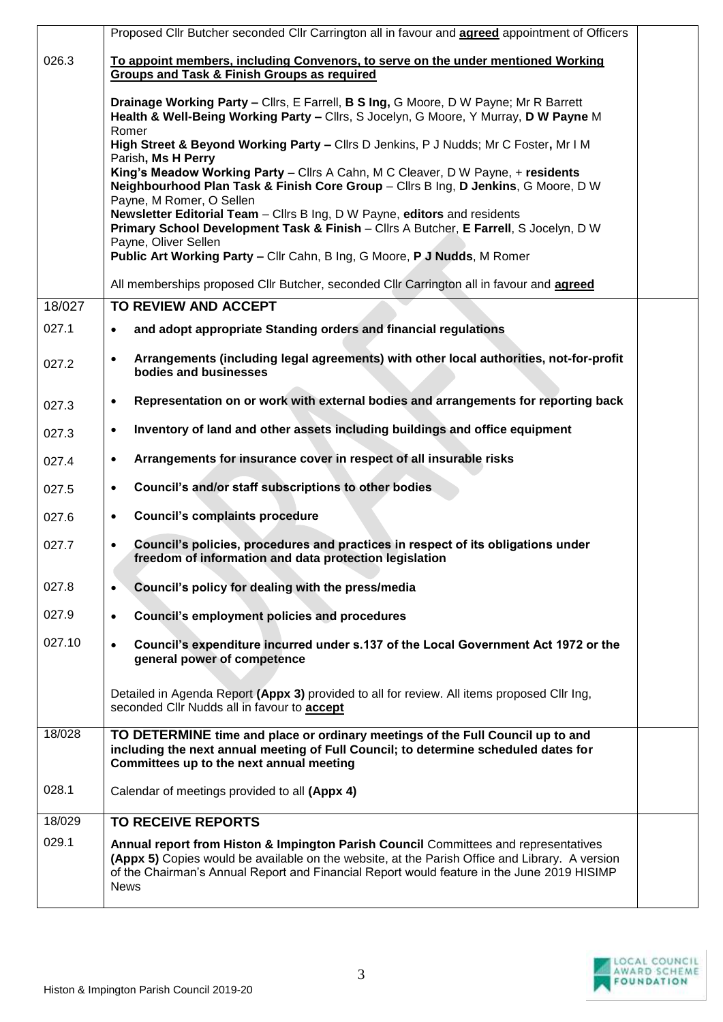|        | Proposed Cllr Butcher seconded Cllr Carrington all in favour and <b>agreed</b> appointment of Officers                                                                                                                                                                                             |  |
|--------|----------------------------------------------------------------------------------------------------------------------------------------------------------------------------------------------------------------------------------------------------------------------------------------------------|--|
| 026.3  | To appoint members, including Convenors, to serve on the under mentioned Working                                                                                                                                                                                                                   |  |
|        | <b>Groups and Task &amp; Finish Groups as required</b>                                                                                                                                                                                                                                             |  |
|        | Drainage Working Party - Clirs, E Farrell, B S Ing, G Moore, D W Payne; Mr R Barrett<br>Health & Well-Being Working Party - Cllrs, S Jocelyn, G Moore, Y Murray, D W Payne M<br>Romer                                                                                                              |  |
|        | High Street & Beyond Working Party - Cllrs D Jenkins, P J Nudds; Mr C Foster, Mr I M                                                                                                                                                                                                               |  |
|        | Parish, Ms H Perry<br>King's Meadow Working Party - Cllrs A Cahn, M C Cleaver, D W Payne, + residents<br>Neighbourhood Plan Task & Finish Core Group - Cllrs B Ing, D Jenkins, G Moore, D W                                                                                                        |  |
|        | Payne, M Romer, O Sellen<br>Newsletter Editorial Team - Cllrs B Ing, D W Payne, editors and residents<br>Primary School Development Task & Finish - Cllrs A Butcher, E Farrell, S Jocelyn, D W                                                                                                     |  |
|        | Payne, Oliver Sellen                                                                                                                                                                                                                                                                               |  |
|        | Public Art Working Party - Cllr Cahn, B Ing, G Moore, P J Nudds, M Romer                                                                                                                                                                                                                           |  |
|        | All memberships proposed Cllr Butcher, seconded Cllr Carrington all in favour and <b>agreed</b>                                                                                                                                                                                                    |  |
| 18/027 | TO REVIEW AND ACCEPT                                                                                                                                                                                                                                                                               |  |
| 027.1  | and adopt appropriate Standing orders and financial regulations<br>$\bullet$                                                                                                                                                                                                                       |  |
| 027.2  | Arrangements (including legal agreements) with other local authorities, not-for-profit<br>$\bullet$<br>bodies and businesses                                                                                                                                                                       |  |
| 027.3  | Representation on or work with external bodies and arrangements for reporting back<br>$\bullet$                                                                                                                                                                                                    |  |
| 027.3  | Inventory of land and other assets including buildings and office equipment<br>$\bullet$                                                                                                                                                                                                           |  |
| 027.4  | Arrangements for insurance cover in respect of all insurable risks<br>$\bullet$                                                                                                                                                                                                                    |  |
| 027.5  | Council's and/or staff subscriptions to other bodies<br>$\bullet$                                                                                                                                                                                                                                  |  |
| 027.6  | <b>Council's complaints procedure</b><br>$\bullet$                                                                                                                                                                                                                                                 |  |
| 027.7  | Council's policies, procedures and practices in respect of its obligations under<br>$\bullet$<br>freedom of information and data protection legislation                                                                                                                                            |  |
| 027.8  | Council's policy for dealing with the press/media<br>$\bullet$                                                                                                                                                                                                                                     |  |
| 027.9  | <b>Council's employment policies and procedures</b><br>$\bullet$                                                                                                                                                                                                                                   |  |
| 027.10 | Council's expenditure incurred under s.137 of the Local Government Act 1972 or the<br>$\bullet$<br>general power of competence                                                                                                                                                                     |  |
|        | Detailed in Agenda Report (Appx 3) provided to all for review. All items proposed Cllr Ing,<br>seconded Cllr Nudds all in favour to accept                                                                                                                                                         |  |
| 18/028 | TO DETERMINE time and place or ordinary meetings of the Full Council up to and                                                                                                                                                                                                                     |  |
|        | including the next annual meeting of Full Council; to determine scheduled dates for<br>Committees up to the next annual meeting                                                                                                                                                                    |  |
| 028.1  | Calendar of meetings provided to all (Appx 4)                                                                                                                                                                                                                                                      |  |
| 18/029 | <b>TO RECEIVE REPORTS</b>                                                                                                                                                                                                                                                                          |  |
| 029.1  | Annual report from Histon & Impington Parish Council Committees and representatives<br>(Appx 5) Copies would be available on the website, at the Parish Office and Library. A version<br>of the Chairman's Annual Report and Financial Report would feature in the June 2019 HISIMP<br><b>News</b> |  |

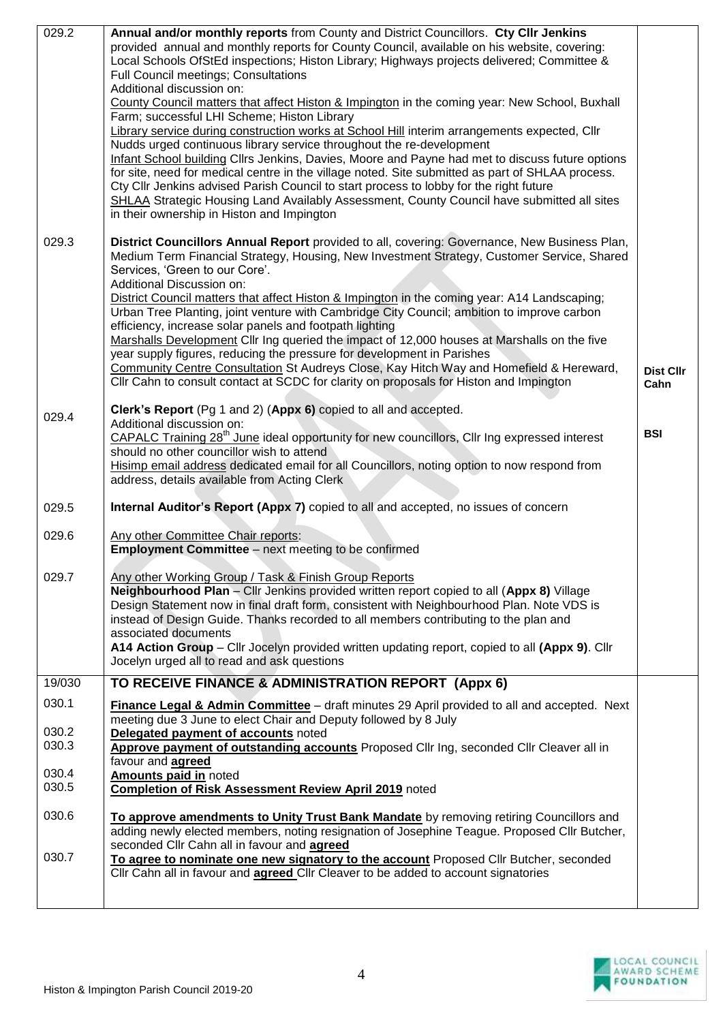| 029.2          | Annual and/or monthly reports from County and District Councillors. Cty Cllr Jenkins<br>provided annual and monthly reports for County Council, available on his website, covering:<br>Local Schools OfStEd inspections; Histon Library; Highways projects delivered; Committee &<br>Full Council meetings; Consultations<br>Additional discussion on:<br>County Council matters that affect Histon & Impington in the coming year: New School, Buxhall<br>Farm; successful LHI Scheme; Histon Library<br>Library service during construction works at School Hill interim arrangements expected, Cllr<br>Nudds urged continuous library service throughout the re-development<br>Infant School building Cllrs Jenkins, Davies, Moore and Payne had met to discuss future options<br>for site, need for medical centre in the village noted. Site submitted as part of SHLAA process.<br>Cty Cllr Jenkins advised Parish Council to start process to lobby for the right future<br>SHLAA Strategic Housing Land Availably Assessment, County Council have submitted all sites<br>in their ownership in Histon and Impington |                          |
|----------------|-----------------------------------------------------------------------------------------------------------------------------------------------------------------------------------------------------------------------------------------------------------------------------------------------------------------------------------------------------------------------------------------------------------------------------------------------------------------------------------------------------------------------------------------------------------------------------------------------------------------------------------------------------------------------------------------------------------------------------------------------------------------------------------------------------------------------------------------------------------------------------------------------------------------------------------------------------------------------------------------------------------------------------------------------------------------------------------------------------------------------------|--------------------------|
| 029.3          | District Councillors Annual Report provided to all, covering: Governance, New Business Plan,<br>Medium Term Financial Strategy, Housing, New Investment Strategy, Customer Service, Shared<br>Services, 'Green to our Core'.<br>Additional Discussion on:<br>District Council matters that affect Histon & Impington in the coming year: A14 Landscaping;<br>Urban Tree Planting, joint venture with Cambridge City Council; ambition to improve carbon<br>efficiency, increase solar panels and footpath lighting<br>Marshalls Development Cllr Ing queried the impact of 12,000 houses at Marshalls on the five<br>year supply figures, reducing the pressure for development in Parishes<br>Community Centre Consultation St Audreys Close, Kay Hitch Way and Homefield & Hereward,<br>Cllr Cahn to consult contact at SCDC for clarity on proposals for Histon and Impington                                                                                                                                                                                                                                            | <b>Dist Cllr</b><br>Cahn |
| 029.4          | Clerk's Report (Pg 1 and 2) (Appx 6) copied to all and accepted.<br>Additional discussion on:<br>CAPALC Training 28 <sup>th</sup> June ideal opportunity for new councillors, Cllr Ing expressed interest<br>should no other councillor wish to attend<br>Hisimp email address dedicated email for all Councillors, noting option to now respond from<br>address, details available from Acting Clerk                                                                                                                                                                                                                                                                                                                                                                                                                                                                                                                                                                                                                                                                                                                       | <b>BSI</b>               |
| 029.5          | Internal Auditor's Report (Appx 7) copied to all and accepted, no issues of concern                                                                                                                                                                                                                                                                                                                                                                                                                                                                                                                                                                                                                                                                                                                                                                                                                                                                                                                                                                                                                                         |                          |
| 029.6          | Any other Committee Chair reports:<br><b>Employment Committee</b> - next meeting to be confirmed                                                                                                                                                                                                                                                                                                                                                                                                                                                                                                                                                                                                                                                                                                                                                                                                                                                                                                                                                                                                                            |                          |
| 029.7          | Any other Working Group / Task & Finish Group Reports<br>Neighbourhood Plan - Cllr Jenkins provided written report copied to all (Appx 8) Village<br>Design Statement now in final draft form, consistent with Neighbourhood Plan. Note VDS is<br>instead of Design Guide. Thanks recorded to all members contributing to the plan and<br>associated documents<br>A14 Action Group - Cllr Jocelyn provided written updating report, copied to all (Appx 9). Cllr<br>Jocelyn urged all to read and ask questions                                                                                                                                                                                                                                                                                                                                                                                                                                                                                                                                                                                                             |                          |
| 19/030         | TO RECEIVE FINANCE & ADMINISTRATION REPORT (Appx 6)                                                                                                                                                                                                                                                                                                                                                                                                                                                                                                                                                                                                                                                                                                                                                                                                                                                                                                                                                                                                                                                                         |                          |
| 030.1          | Finance Legal & Admin Committee - draft minutes 29 April provided to all and accepted. Next<br>meeting due 3 June to elect Chair and Deputy followed by 8 July                                                                                                                                                                                                                                                                                                                                                                                                                                                                                                                                                                                                                                                                                                                                                                                                                                                                                                                                                              |                          |
| 030.2<br>030.3 | Delegated payment of accounts noted<br>Approve payment of outstanding accounts Proposed Cllr Ing, seconded Cllr Cleaver all in<br>favour and agreed                                                                                                                                                                                                                                                                                                                                                                                                                                                                                                                                                                                                                                                                                                                                                                                                                                                                                                                                                                         |                          |
| 030.4<br>030.5 | <b>Amounts paid in noted</b><br><b>Completion of Risk Assessment Review April 2019</b> noted                                                                                                                                                                                                                                                                                                                                                                                                                                                                                                                                                                                                                                                                                                                                                                                                                                                                                                                                                                                                                                |                          |
| 030.6          | To approve amendments to Unity Trust Bank Mandate by removing retiring Councillors and<br>adding newly elected members, noting resignation of Josephine Teague. Proposed Cllr Butcher,                                                                                                                                                                                                                                                                                                                                                                                                                                                                                                                                                                                                                                                                                                                                                                                                                                                                                                                                      |                          |
| 030.7          | seconded Cllr Cahn all in favour and agreed<br>To agree to nominate one new signatory to the account Proposed Cllr Butcher, seconded<br>Cllr Cahn all in favour and agreed Cllr Cleaver to be added to account signatories                                                                                                                                                                                                                                                                                                                                                                                                                                                                                                                                                                                                                                                                                                                                                                                                                                                                                                  |                          |
|                |                                                                                                                                                                                                                                                                                                                                                                                                                                                                                                                                                                                                                                                                                                                                                                                                                                                                                                                                                                                                                                                                                                                             |                          |